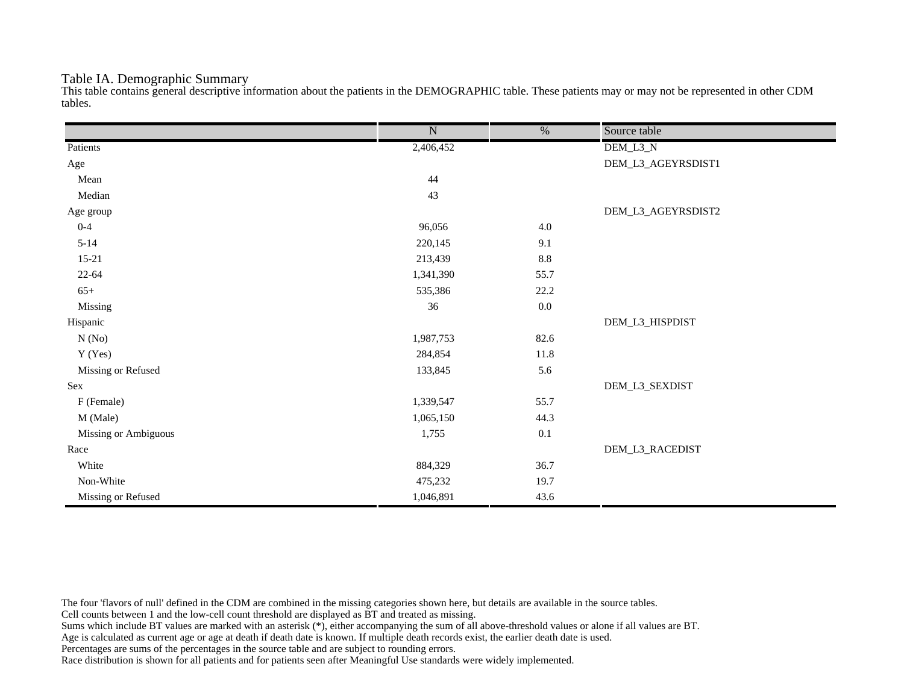### Table IA. Demographic Summary

This table contains general descriptive information about the patients in the DEMOGRAPHIC table. These patients may or may not be represented in other CDM tables.

|                      | $\overline{\text{N}}$ | $\frac{0}{6}$ | Source table       |
|----------------------|-----------------------|---------------|--------------------|
| Patients             | 2,406,452             |               | DEM_L3_N           |
| Age                  |                       |               | DEM_L3_AGEYRSDIST1 |
| Mean                 | 44                    |               |                    |
| Median               | 43                    |               |                    |
| Age group            |                       |               | DEM_L3_AGEYRSDIST2 |
| $0 - 4$              | 96,056                | $4.0\,$       |                    |
| $5 - 14$             | 220,145               | 9.1           |                    |
| $15 - 21$            | 213,439               | $8.8\,$       |                    |
| $22 - 64$            | 1,341,390             | 55.7          |                    |
| $65+$                | 535,386               | 22.2          |                    |
| Missing              | 36                    | $0.0\,$       |                    |
| Hispanic             |                       |               | DEM_L3_HISPDIST    |
| N(No)                | 1,987,753             | 82.6          |                    |
| Y (Yes)              | 284,854               | $11.8\,$      |                    |
| Missing or Refused   | 133,845               | 5.6           |                    |
| Sex                  |                       |               | DEM_L3_SEXDIST     |
| F (Female)           | 1,339,547             | 55.7          |                    |
| M (Male)             | 1,065,150             | 44.3          |                    |
| Missing or Ambiguous | 1,755                 | 0.1           |                    |
| Race                 |                       |               | DEM_L3_RACEDIST    |
| White                | 884,329               | 36.7          |                    |
| Non-White            | 475,232               | 19.7          |                    |
| Missing or Refused   | 1,046,891             | 43.6          |                    |

The four 'flavors of null' defined in the CDM are combined in the missing categories shown here, but details are available in the source tables.

Cell counts between 1 and the low-cell count threshold are displayed as BT and treated as missing.

Sums which include BT values are marked with an asterisk (\*), either accompanying the sum of all above-threshold values or alone if all values are BT.

Age is calculated as current age or age at death if death date is known. If multiple death records exist, the earlier death date is used.

Percentages are sums of the percentages in the source table and are subject to rounding errors.

Race distribution is shown for all patients and for patients seen after Meaningful Use standards were widely implemented.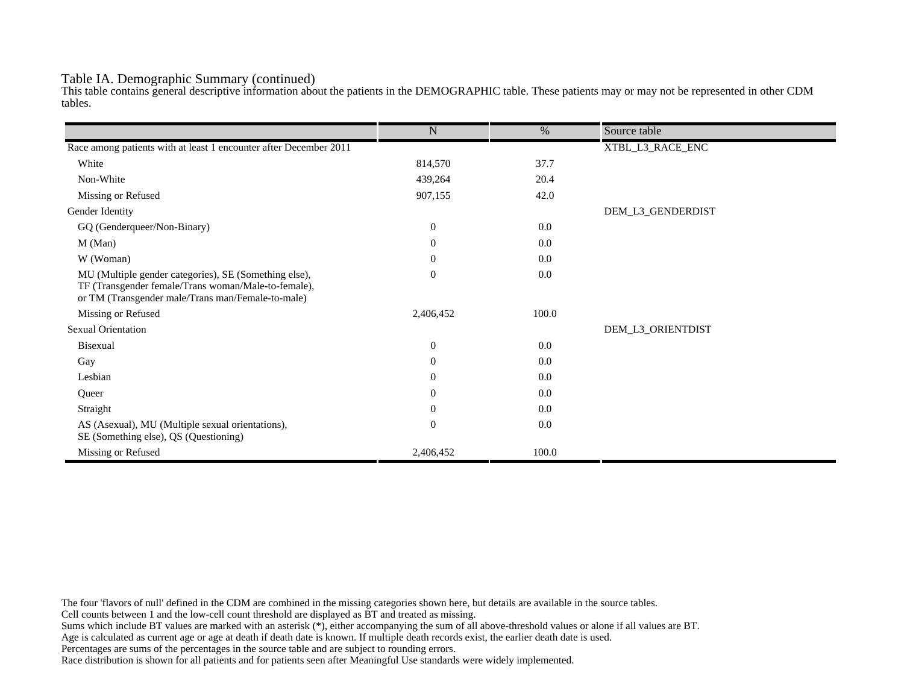## Table IA. Demographic Summary (continued)

This table contains general descriptive information about the patients in the DEMOGRAPHIC table. These patients may or may not be represented in other CDM tables.

|                                                                                                                                                                   | $\mathbf N$      | $\%$  | Source table      |
|-------------------------------------------------------------------------------------------------------------------------------------------------------------------|------------------|-------|-------------------|
| Race among patients with at least 1 encounter after December 2011                                                                                                 |                  |       | XTBL_L3_RACE_ENC  |
|                                                                                                                                                                   |                  |       |                   |
| White                                                                                                                                                             | 814,570          | 37.7  |                   |
| Non-White                                                                                                                                                         | 439,264          | 20.4  |                   |
| Missing or Refused                                                                                                                                                | 907,155          | 42.0  |                   |
| Gender Identity                                                                                                                                                   |                  |       | DEM_L3_GENDERDIST |
| GQ (Genderqueer/Non-Binary)                                                                                                                                       | $\overline{0}$   | 0.0   |                   |
| M (Man)                                                                                                                                                           | $\theta$         | 0.0   |                   |
| W (Woman)                                                                                                                                                         | $\boldsymbol{0}$ | 0.0   |                   |
| MU (Multiple gender categories), SE (Something else),<br>TF (Transgender female/Trans woman/Male-to-female),<br>or TM (Transgender male/Trans man/Female-to-male) | $\mathbf{0}$     | 0.0   |                   |
| Missing or Refused                                                                                                                                                | 2,406,452        | 100.0 |                   |
| <b>Sexual Orientation</b>                                                                                                                                         |                  |       | DEM_L3_ORIENTDIST |
| Bisexual                                                                                                                                                          | $\mathbf{0}$     | 0.0   |                   |
| Gay                                                                                                                                                               | $\overline{0}$   | 0.0   |                   |
| Lesbian                                                                                                                                                           | $\overline{0}$   | 0.0   |                   |
| Queer                                                                                                                                                             | $\overline{0}$   | 0.0   |                   |
| Straight                                                                                                                                                          | $\theta$         | 0.0   |                   |
| AS (Asexual), MU (Multiple sexual orientations),<br>SE (Something else), QS (Questioning)                                                                         | $\mathbf{0}$     | 0.0   |                   |
| Missing or Refused                                                                                                                                                | 2,406,452        | 100.0 |                   |

The four 'flavors of null' defined in the CDM are combined in the missing categories shown here, but details are available in the source tables.

Cell counts between 1 and the low-cell count threshold are displayed as BT and treated as missing.

Sums which include BT values are marked with an asterisk (\*), either accompanying the sum of all above-threshold values or alone if all values are BT.

Age is calculated as current age or age at death if death date is known. If multiple death records exist, the earlier death date is used.

Percentages are sums of the percentages in the source table and are subject to rounding errors.

Race distribution is shown for all patients and for patients seen after Meaningful Use standards were widely implemented.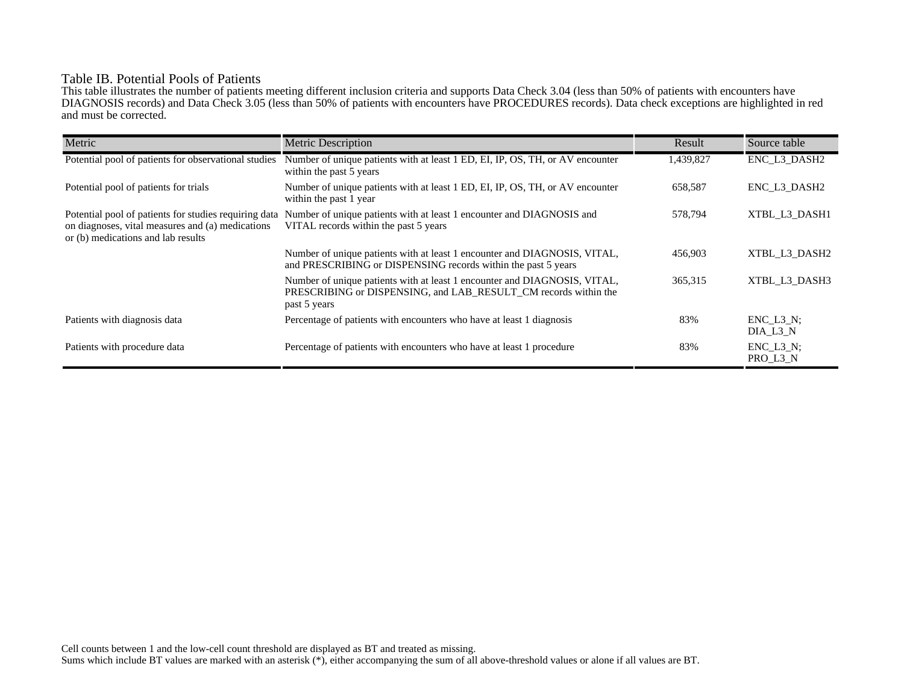# Table IB. Potential Pools of Patients

This table illustrates the number of patients meeting different inclusion criteria and supports Data Check 3.04 (less than 50% of patients with encounters have DIAGNOSIS records) and Data Check 3.05 (less than 50% of patients with encounters have PROCEDURES records). Data check exceptions are highlighted in red and must be corrected.

| Metric                                                                                                                                          | <b>Metric Description</b>                                                                                                                                    | Result    | Source table                 |
|-------------------------------------------------------------------------------------------------------------------------------------------------|--------------------------------------------------------------------------------------------------------------------------------------------------------------|-----------|------------------------------|
| Potential pool of patients for observational studies                                                                                            | Number of unique patients with at least 1 ED, EI, IP, OS, TH, or AV encounter<br>within the past 5 years                                                     | 1,439,827 | ENC_L3_DASH2                 |
| Potential pool of patients for trials                                                                                                           | Number of unique patients with at least 1 ED, EI, IP, OS, TH, or AV encounter<br>within the past 1 year                                                      | 658,587   | ENC L3 DASH2                 |
| Potential pool of patients for studies requiring data<br>on diagnoses, vital measures and (a) medications<br>or (b) medications and lab results | Number of unique patients with at least 1 encounter and DIAGNOSIS and<br>VITAL records within the past 5 years                                               | 578,794   | XTBL L3 DASH1                |
|                                                                                                                                                 | Number of unique patients with at least 1 encounter and DIAGNOSIS, VITAL,<br>and PRESCRIBING or DISPENSING records within the past 5 years                   | 456,903   | XTBL L3 DASH2                |
|                                                                                                                                                 | Number of unique patients with at least 1 encounter and DIAGNOSIS, VITAL,<br>PRESCRIBING or DISPENSING, and LAB RESULT CM records within the<br>past 5 years | 365,315   | XTBL L3 DASH3                |
| Patients with diagnosis data                                                                                                                    | Percentage of patients with encounters who have at least 1 diagnosis                                                                                         | 83%       | $ENC$ $L3$ $N$ ;<br>DIA L3 N |
| Patients with procedure data                                                                                                                    | Percentage of patients with encounters who have at least 1 procedure                                                                                         | 83%       | $ENC$ $L3$ $N$ ;<br>PRO_L3_N |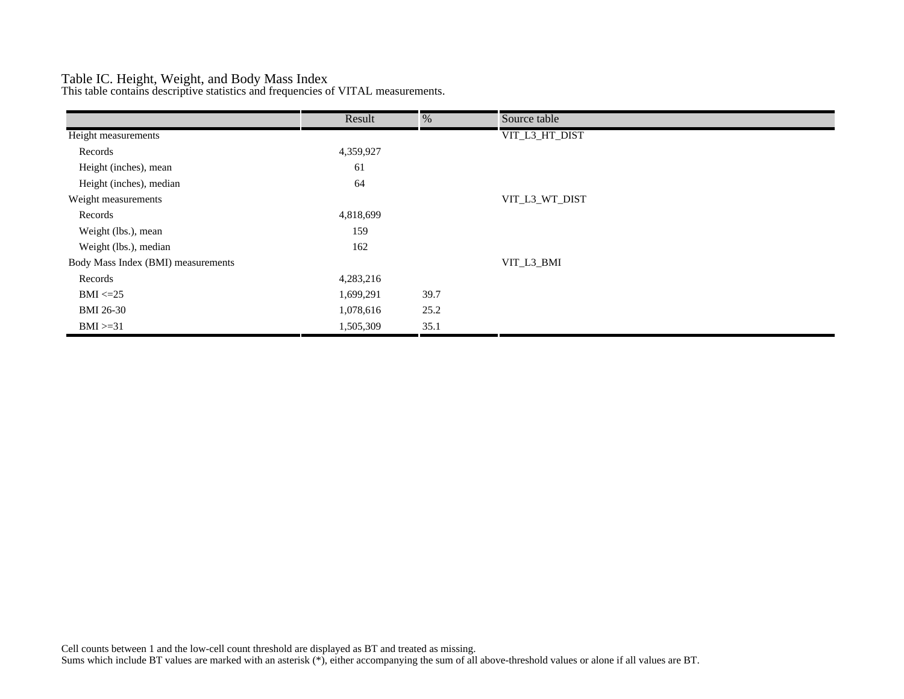# Table IC. Height, Weight, and Body Mass Index

This table contains descriptive statistics and frequencies of VITAL measurements.

|                                    | Result    | %    | Source table   |
|------------------------------------|-----------|------|----------------|
| Height measurements                |           |      | VIT_L3_HT_DIST |
| Records                            | 4,359,927 |      |                |
| Height (inches), mean              | 61        |      |                |
| Height (inches), median            | 64        |      |                |
| Weight measurements                |           |      | VIT_L3_WT_DIST |
| Records                            | 4,818,699 |      |                |
| Weight (lbs.), mean                | 159       |      |                |
| Weight (lbs.), median              | 162       |      |                |
| Body Mass Index (BMI) measurements |           |      | VIT_L3_BMI     |
| Records                            | 4,283,216 |      |                |
| $BMI \leq=25$                      | 1,699,291 | 39.7 |                |
| <b>BMI 26-30</b>                   | 1,078,616 | 25.2 |                |
| $BMI > = 31$                       | 1,505,309 | 35.1 |                |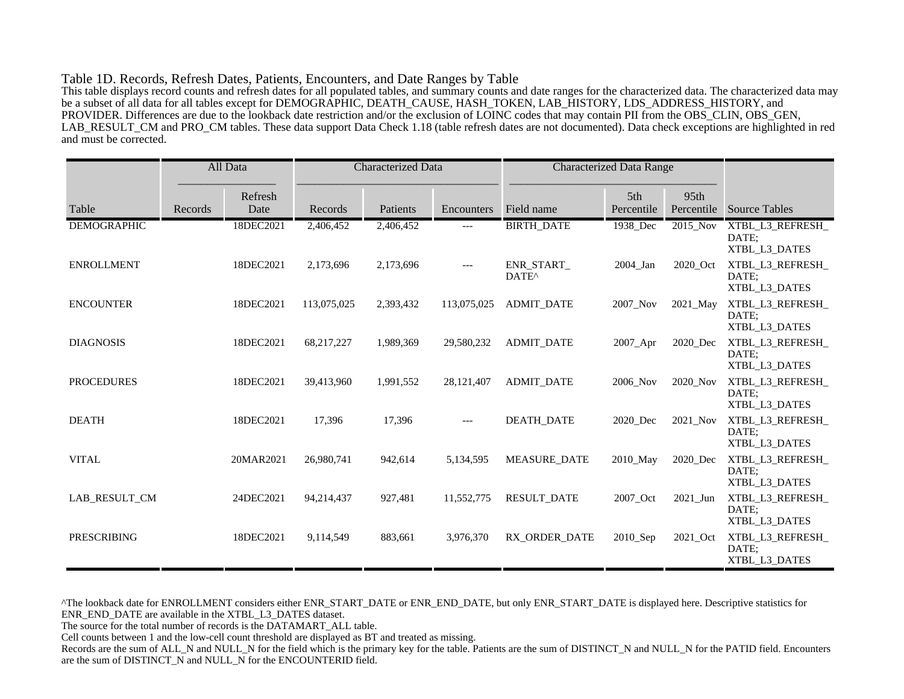#### Table 1D. Records, Refresh Dates, Patients, Encounters, and Date Ranges by Table

This table displays record counts and refresh dates for all populated tables, and summary counts and date ranges for the characterized data. The characterized data may be a subset of all data for all tables except for DEMOGRAPHIC, DEATH\_CAUSE, HASH\_TOKEN, LAB\_HISTORY, LDS\_ADDRESS\_HISTORY, and PROVIDER. Differences are due to the lookback date restriction and/or the exclusion of LOINC codes that may contain PII from the OBS\_CLIN, OBS\_GEN, LAB\_RESULT\_CM and PRO\_CM tables. These data support Data Check 1.18 (table refresh dates are not documented). Data check exceptions are highlighted in red and must be corrected.

|                    |         | All Data        | <b>Characterized Data</b> |           | <b>Characterized Data Range</b> |                                 |                   |                    |                                            |
|--------------------|---------|-----------------|---------------------------|-----------|---------------------------------|---------------------------------|-------------------|--------------------|--------------------------------------------|
| Table              | Records | Refresh<br>Date | Records                   | Patients  | Encounters                      | Field name                      | 5th<br>Percentile | 95th<br>Percentile | <b>Source Tables</b>                       |
| <b>DEMOGRAPHIC</b> |         | 18DEC2021       | 2,406,452                 | 2,406,452 | ---                             | <b>BIRTH_DATE</b>               | 1938_Dec          | 2015_Nov           | XTBL_L3_REFRESH_<br>DATE:<br>XTBL_L3_DATES |
| <b>ENROLLMENT</b>  |         | 18DEC2021       | 2,173,696                 | 2,173,696 | $---$                           | ENR_START_<br>DATE <sup>^</sup> | 2004_Jan          | 2020_Oct           | XTBL_L3_REFRESH_<br>DATE:<br>XTBL L3 DATES |
| <b>ENCOUNTER</b>   |         | 18DEC2021       | 113,075,025               | 2,393,432 | 113,075,025                     | <b>ADMIT_DATE</b>               | 2007 Nov          | 2021_May           | XTBL_L3_REFRESH_<br>DATE:<br>XTBL_L3_DATES |
| <b>DIAGNOSIS</b>   |         | 18DEC2021       | 68,217,227                | 1,989,369 | 29,580,232                      | <b>ADMIT DATE</b>               | 2007_Apr          | 2020 Dec           | XTBL_L3_REFRESH_<br>DATE:<br>XTBL_L3_DATES |
| <b>PROCEDURES</b>  |         | 18DEC2021       | 39,413,960                | 1,991,552 | 28,121,407                      | <b>ADMIT DATE</b>               | 2006 Nov          | 2020 Nov           | XTBL_L3_REFRESH_<br>DATE:<br>XTBL_L3_DATES |
| <b>DEATH</b>       |         | 18DEC2021       | 17,396                    | 17,396    | $---$                           | <b>DEATH DATE</b>               | 2020 Dec          | 2021 Nov           | XTBL_L3_REFRESH_<br>DATE:<br>XTBL_L3_DATES |
| <b>VITAL</b>       |         | 20MAR2021       | 26,980,741                | 942,614   | 5,134,595                       | <b>MEASURE DATE</b>             | 2010_May          | 2020 Dec           | XTBL_L3_REFRESH_<br>DATE:<br>XTBL_L3_DATES |
| LAB RESULT_CM      |         | 24DEC2021       | 94,214,437                | 927,481   | 11,552,775                      | <b>RESULT_DATE</b>              | 2007_Oct          | 2021_Jun           | XTBL_L3_REFRESH_<br>DATE:<br>XTBL_L3_DATES |
| <b>PRESCRIBING</b> |         | 18DEC2021       | 9,114,549                 | 883,661   | 3,976,370                       | RX ORDER DATE                   | 2010_Sep          | 2021_Oct           | XTBL_L3_REFRESH_<br>DATE:<br>XTBL_L3_DATES |

^The lookback date for ENROLLMENT considers either ENR\_START\_DATE or ENR\_END\_DATE, but only ENR\_START\_DATE is displayed here. Descriptive statistics for ENR\_END\_DATE are available in the XTBL\_L3\_DATES dataset.

The source for the total number of records is the DATAMART\_ALL table.

Cell counts between 1 and the low-cell count threshold are displayed as BT and treated as missing.

Records are the sum of ALL\_N and NULL\_N for the field which is the primary key for the table. Patients are the sum of DISTINCT\_N and NULL\_N for the PATID field. Encounters are the sum of DISTINCT\_N and NULL\_N for the ENCOUNTERID field.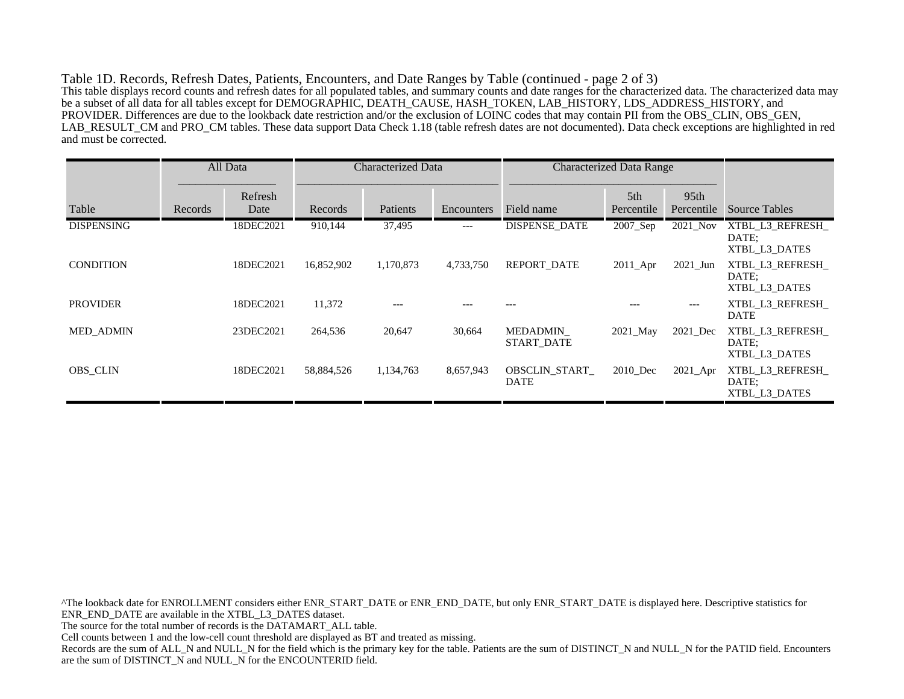Table 1D. Records, Refresh Dates, Patients, Encounters, and Date Ranges by Table (continued - page 2 of 3) This table displays record counts and refresh dates for all populated tables, and summary counts and date ranges for the characterized data. The characterized data may be a subset of all data for all tables except for DEMOGRAPHIC, DEATH\_CAUSE, HASH\_TOKEN, LAB\_HISTORY, LDS\_ADDRESS\_HISTORY, and PROVIDER. Differences are due to the lookback date restriction and/or the exclusion of LOINC codes that may contain PII from the OBS\_CLIN, OBS\_GEN, LAB\_RESULT\_CM and PRO\_CM tables. These data support Data Check 1.18 (table refresh dates are not documented). Data check exceptions are highlighted in red and must be corrected.

|                   |         | All Data        | Characterized Data |           |            | <b>Characterized Data Range</b> |                               |                                |                                           |
|-------------------|---------|-----------------|--------------------|-----------|------------|---------------------------------|-------------------------------|--------------------------------|-------------------------------------------|
| Table             | Records | Refresh<br>Date | Records            | Patients  | Encounters | Field name                      | 5 <sup>th</sup><br>Percentile | 95 <sub>th</sub><br>Percentile | <b>Source Tables</b>                      |
| <b>DISPENSING</b> |         | 18DEC2021       | 910,144            | 37,495    | ---        | DISPENSE DATE                   | 2007 Sep                      | 2021 Nov                       | XTBL L3 REFRESH<br>DATE:<br>XTBL L3 DATES |
| <b>CONDITION</b>  |         | 18DEC2021       | 16,852,902         | 1,170,873 | 4,733,750  | <b>REPORT DATE</b>              | $2011$ Apr                    | $2021$ _Jun                    | XTBL L3 REFRESH<br>DATE:<br>XTBL L3 DATES |
| <b>PROVIDER</b>   |         | 18DEC2021       | 11,372             | $---$     |            |                                 |                               | $---$                          | XTBL L3 REFRESH<br><b>DATE</b>            |
| <b>MED ADMIN</b>  |         | 23DEC2021       | 264,536            | 20,647    | 30,664     | MEDADMIN<br><b>START DATE</b>   | 2021 May                      | 2021_Dec                       | XTBL L3 REFRESH<br>DATE:<br>XTBL L3 DATES |
| <b>OBS CLIN</b>   |         | 18DEC2021       | 58,884,526         | 1,134,763 | 8,657,943  | OBSCLIN START<br><b>DATE</b>    | 2010_Dec                      | 2021_Apr                       | XTBL L3 REFRESH<br>DATE:<br>XTBL L3 DATES |

^The lookback date for ENROLLMENT considers either ENR\_START\_DATE or ENR\_END\_DATE, but only ENR\_START\_DATE is displayed here. Descriptive statistics for ENR\_END\_DATE are available in the XTBL\_L3\_DATES dataset. The source for the total number of records is the DATAMART\_ALL table. Cell counts between 1 and the low-cell count threshold are displayed as BT and treated as missing. Records are the sum of ALL\_N and NULL\_N for the field which is the primary key for the table. Patients are the sum of DISTINCT\_N and NULL\_N for the PATID field. Encounters are the sum of DISTINCT\_N and NULL\_N for the ENCOUNTERID field.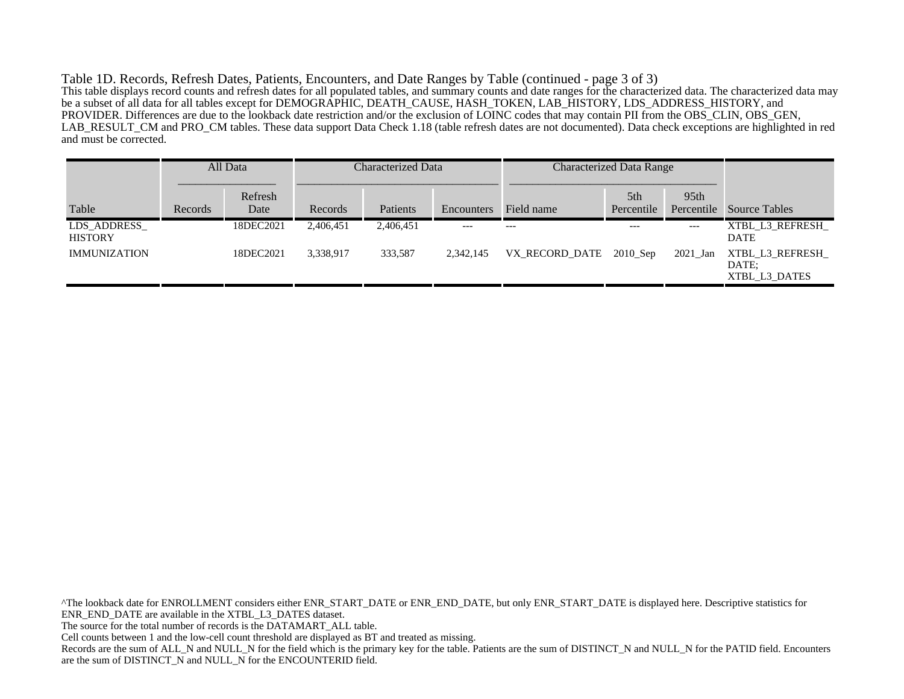Table 1D. Records, Refresh Dates, Patients, Encounters, and Date Ranges by Table (continued - page 3 of 3) This table displays record counts and refresh dates for all populated tables, and summary counts and date ranges for the characterized data. The characterized data may be a subset of all data for all tables except for DEMOGRAPHIC, DEATH\_CAUSE, HASH\_TOKEN, LAB\_HISTORY, LDS\_ADDRESS\_HISTORY, and PROVIDER. Differences are due to the lookback date restriction and/or the exclusion of LOINC codes that may contain PII from the OBS\_CLIN, OBS\_GEN, LAB\_RESULT\_CM and PRO\_CM tables. These data support Data Check 1.18 (table refresh dates are not documented). Data check exceptions are highlighted in red and must be corrected.

|                               |         | All Data        | Characterized Data |           |            | <b>Characterized Data Range</b> |                   |                    |                                           |
|-------------------------------|---------|-----------------|--------------------|-----------|------------|---------------------------------|-------------------|--------------------|-------------------------------------------|
| Table                         | Records | Refresh<br>Date | Records            | Patients  | Encounters | Field name                      | 5th<br>Percentile | 95th<br>Percentile | <b>Source Tables</b>                      |
| LDS ADDRESS<br><b>HISTORY</b> |         | 18DEC2021       | 2,406,451          | 2,406,451 | ---        | $---$                           | $---$             | ---                | XTBL L3 REFRESH<br><b>DATE</b>            |
| <b>IMMUNIZATION</b>           |         | 18DEC2021       | 3,338,917          | 333,587   | 2,342,145  | VX_RECORD_DATE 2010_Sep         |                   | 2021 Jan           | XTBL L3 REFRESH<br>DATE:<br>XTBL L3 DATES |

^The lookback date for ENROLLMENT considers either ENR\_START\_DATE or ENR\_END\_DATE, but only ENR\_START\_DATE is displayed here. Descriptive statistics for ENR\_END\_DATE are available in the XTBL\_L3\_DATES dataset. The source for the total number of records is the DATAMART\_ALL table. Cell counts between 1 and the low-cell count threshold are displayed as BT and treated as missing. Records are the sum of ALL\_N and NULL\_N for the field which is the primary key for the table. Patients are the sum of DISTINCT\_N and NULL\_N for the PATID field. Encounters are the sum of DISTINCT\_N and NULL\_N for the ENCOUNTERID field.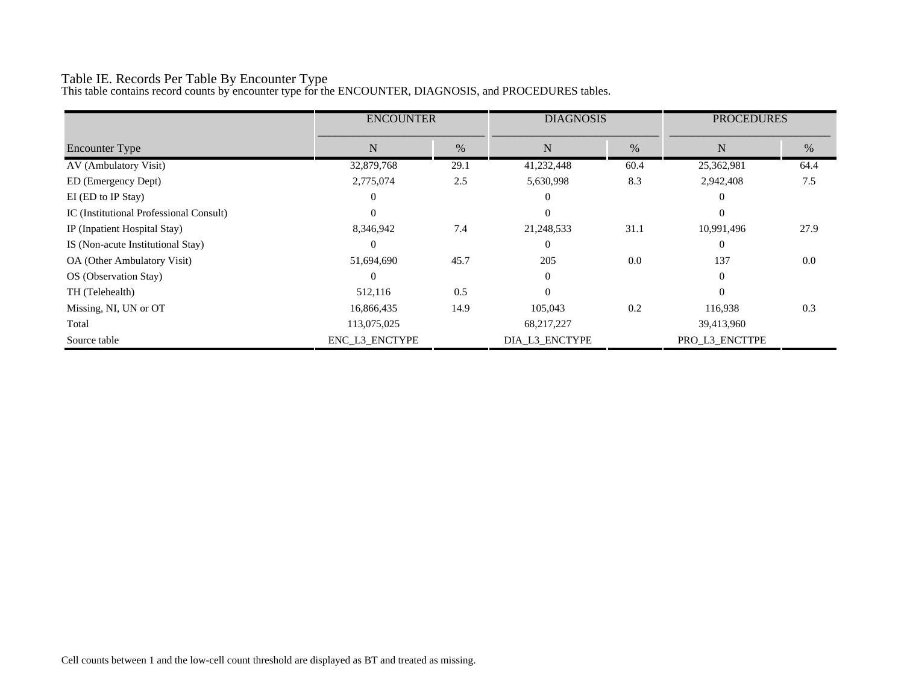# Table IE. Records Per Table By Encounter Type

This table contains record counts by encounter type for the ENCOUNTER, DIAGNOSIS, and PROCEDURES tables.

|                                         | <b>ENCOUNTER</b> |      | <b>DIAGNOSIS</b> |      | <b>PROCEDURES</b> |      |
|-----------------------------------------|------------------|------|------------------|------|-------------------|------|
| <b>Encounter Type</b>                   | N                | $\%$ | N                | $\%$ | N                 | %    |
| AV (Ambulatory Visit)                   | 32,879,768       | 29.1 | 41,232,448       | 60.4 | 25,362,981        | 64.4 |
| ED (Emergency Dept)                     | 2,775,074        | 2.5  | 5,630,998        | 8.3  | 2,942,408         | 7.5  |
| EI (ED to IP Stay)                      | $\theta$         |      | $\theta$         |      |                   |      |
| IC (Institutional Professional Consult) | $\Omega$         |      | $\Omega$         |      | $\Omega$          |      |
| IP (Inpatient Hospital Stay)            | 8,346,942        | 7.4  | 21,248,533       | 31.1 | 10,991,496        | 27.9 |
| IS (Non-acute Institutional Stay)       | $\Omega$         |      | $\Omega$         |      | $\Omega$          |      |
| OA (Other Ambulatory Visit)             | 51,694,690       | 45.7 | 205              | 0.0  | 137               | 0.0  |
| OS (Observation Stay)                   | $\Omega$         |      | $\Omega$         |      | $\Omega$          |      |
| TH (Telehealth)                         | 512,116          | 0.5  | $\Omega$         |      | $\Omega$          |      |
| Missing, NI, UN or OT                   | 16,866,435       | 14.9 | 105,043          | 0.2  | 116,938           | 0.3  |
| Total                                   | 113,075,025      |      | 68,217,227       |      | 39,413,960        |      |
| Source table                            | ENC_L3_ENCTYPE   |      | DIA_L3_ENCTYPE   |      | PRO_L3_ENCTTPE    |      |